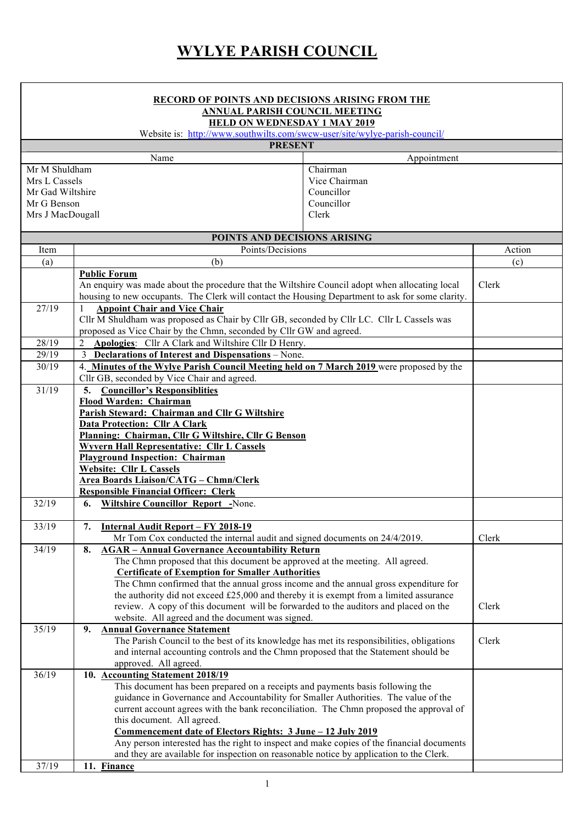## **WYLYE PARISH COUNCIL**

|                                                             | <b>RECORD OF POINTS AND DECISIONS ARISING FROM THE</b><br><b>ANNUAL PARISH COUNCIL MEETING</b>                                                                                       |             |        |
|-------------------------------------------------------------|--------------------------------------------------------------------------------------------------------------------------------------------------------------------------------------|-------------|--------|
|                                                             | <b>HELD ON WEDNESDAY 1 MAY 2019</b>                                                                                                                                                  |             |        |
|                                                             | Website is: http://www.southwilts.com/swcw-user/site/wylye-parish-council/                                                                                                           |             |        |
|                                                             | <b>PRESENT</b>                                                                                                                                                                       |             |        |
|                                                             | Name                                                                                                                                                                                 | Appointment |        |
| Mr M Shuldham                                               |                                                                                                                                                                                      | Chairman    |        |
| Vice Chairman<br>Mrs L Cassels                              |                                                                                                                                                                                      |             |        |
| Councillor<br>Mr Gad Wiltshire<br>Councillor<br>Mr G Benson |                                                                                                                                                                                      |             |        |
| Mrs J MacDougall                                            |                                                                                                                                                                                      | Clerk       |        |
|                                                             |                                                                                                                                                                                      |             |        |
|                                                             | POINTS AND DECISIONS ARISING                                                                                                                                                         |             |        |
| Item                                                        | Points/Decisions                                                                                                                                                                     |             | Action |
| (a)                                                         | (b)                                                                                                                                                                                  |             | (c)    |
|                                                             | <b>Public Forum</b>                                                                                                                                                                  |             |        |
|                                                             | An enquiry was made about the procedure that the Wiltshire Council adopt when allocating local                                                                                       |             | Clerk  |
|                                                             | housing to new occupants. The Clerk will contact the Housing Department to ask for some clarity.                                                                                     |             |        |
| 27/19                                                       | <b>Appoint Chair and Vice Chair</b>                                                                                                                                                  |             |        |
|                                                             | Cllr M Shuldham was proposed as Chair by Cllr GB, seconded by Cllr LC. Cllr L Cassels was<br>proposed as Vice Chair by the Chmn, seconded by Cllr GW and agreed.                     |             |        |
| 28/19                                                       | Apologies: Cllr A Clark and Wiltshire Cllr D Henry.<br>2                                                                                                                             |             |        |
| 29/19                                                       | 3 Declarations of Interest and Dispensations - None.                                                                                                                                 |             |        |
| 30/19                                                       | 4. Minutes of the Wylye Parish Council Meeting held on 7 March 2019 were proposed by the                                                                                             |             |        |
|                                                             | Cllr GB, seconded by Vice Chair and agreed.                                                                                                                                          |             |        |
| 31/19                                                       | <b>Councillor's Responsiblities</b><br>5.                                                                                                                                            |             |        |
|                                                             | Flood Warden: Chairman                                                                                                                                                               |             |        |
|                                                             | Parish Steward: Chairman and Cllr G Wiltshire                                                                                                                                        |             |        |
|                                                             | <b>Data Protection: Cllr A Clark</b>                                                                                                                                                 |             |        |
|                                                             | Planning: Chairman, Cllr G Wiltshire, Cllr G Benson                                                                                                                                  |             |        |
|                                                             | <b>Wyvern Hall Representative: Cllr L Cassels</b><br><b>Playground Inspection: Chairman</b>                                                                                          |             |        |
|                                                             | <b>Website: Cllr L Cassels</b>                                                                                                                                                       |             |        |
|                                                             | <b>Area Boards Liaison/CATG - Chmn/Clerk</b>                                                                                                                                         |             |        |
|                                                             | <b>Responsible Financial Officer: Clerk</b>                                                                                                                                          |             |        |
| 32/19                                                       | <b>Wiltshire Councillor Report -None.</b><br>6.                                                                                                                                      |             |        |
|                                                             |                                                                                                                                                                                      |             |        |
| 33/19                                                       | 7.<br><b>Internal Audit Report - FY 2018-19</b>                                                                                                                                      |             | Clerk  |
| 34/19                                                       | Mr Tom Cox conducted the internal audit and signed documents on 24/4/2019.<br><b>AGAR - Annual Governance Accountability Return</b><br>8.                                            |             |        |
|                                                             | The Chmn proposed that this document be approved at the meeting. All agreed.                                                                                                         |             |        |
|                                                             | <b>Certificate of Exemption for Smaller Authorities</b>                                                                                                                              |             |        |
|                                                             | The Chmn confirmed that the annual gross income and the annual gross expenditure for                                                                                                 |             |        |
|                                                             | the authority did not exceed £25,000 and thereby it is exempt from a limited assurance                                                                                               |             |        |
|                                                             | review. A copy of this document will be forwarded to the auditors and placed on the                                                                                                  |             | Clerk  |
|                                                             | website. All agreed and the document was signed.                                                                                                                                     |             |        |
| 35/19                                                       | <b>Annual Governance Statement</b><br>9.                                                                                                                                             |             |        |
|                                                             | The Parish Council to the best of its knowledge has met its responsibilities, obligations<br>and internal accounting controls and the Chmn proposed that the Statement should be     |             | Clerk  |
|                                                             | approved. All agreed.                                                                                                                                                                |             |        |
| 36/19                                                       | 10. Accounting Statement 2018/19                                                                                                                                                     |             |        |
|                                                             | This document has been prepared on a receipts and payments basis following the                                                                                                       |             |        |
|                                                             | guidance in Governance and Accountability for Smaller Authorities. The value of the                                                                                                  |             |        |
|                                                             | current account agrees with the bank reconciliation. The Chmn proposed the approval of                                                                                               |             |        |
|                                                             | this document. All agreed.                                                                                                                                                           |             |        |
|                                                             | <u>Commencement date of Electors Rights: 3 June - 12 July 2019</u>                                                                                                                   |             |        |
|                                                             | Any person interested has the right to inspect and make copies of the financial documents<br>and they are available for inspection on reasonable notice by application to the Clerk. |             |        |
| 37/19                                                       | 11. Finance                                                                                                                                                                          |             |        |
|                                                             |                                                                                                                                                                                      |             |        |